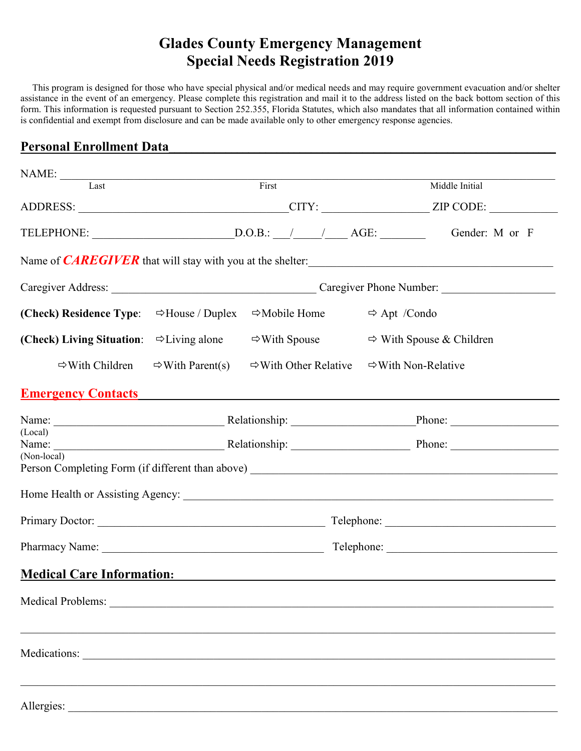## **Glades County Emergency Management Special Needs Registration 2019**

 form. This information is requested pursuant to Section 252.355, Florida Statutes, which also mandates that all information contained within This program is designed for those who have special physical and/or medical needs and may require government evacuation and/or shelter assistance in the event of an emergency. Please complete this registration and mail it to the address listed on the back bottom section of this is confidential and exempt from disclosure and can be made available only to other emergency response agencies.

## **Personal Enrollment Data\_\_\_\_\_\_\_\_\_\_\_\_\_\_\_\_\_\_\_\_\_\_\_\_\_\_\_\_\_\_\_\_\_\_\_\_\_\_\_\_\_\_\_\_\_\_\_\_\_\_\_\_\_\_\_\_\_\_\_\_\_\_\_\_\_\_\_\_**

| $\begin{tabular}{c} \bf{NAME:} \end{tabular}$ $\begin{tabular}{c} \bf{Last} \end{tabular}$ | First                                                                                                                                                                                                                          |                                   | Middle Initial                       |  |  |
|--------------------------------------------------------------------------------------------|--------------------------------------------------------------------------------------------------------------------------------------------------------------------------------------------------------------------------------|-----------------------------------|--------------------------------------|--|--|
|                                                                                            |                                                                                                                                                                                                                                |                                   |                                      |  |  |
|                                                                                            | TELEPHONE: $\underline{\hspace{2cm}}$ D.O.B.: $\underline{\hspace{2cm}}$ AGE:<br>Gender: M or F                                                                                                                                |                                   |                                      |  |  |
| Name of <i>CAREGIVER</i> that will stay with you at the shelter:                           |                                                                                                                                                                                                                                |                                   |                                      |  |  |
|                                                                                            |                                                                                                                                                                                                                                |                                   |                                      |  |  |
| (Check) Residence Type:                                                                    | $\Rightarrow$ House / Duplex                                                                                                                                                                                                   | $\Rightarrow$ Mobile Home         | $\Rightarrow$ Apt /Condo             |  |  |
| (Check) Living Situation: $\Rightarrow$ Living alone                                       |                                                                                                                                                                                                                                | $\Rightarrow$ With Spouse         | $\Rightarrow$ With Spouse & Children |  |  |
| $\Rightarrow$ With Children                                                                | $\Rightarrow$ With Parent(s)                                                                                                                                                                                                   | $\Rightarrow$ With Other Relative | $\Rightarrow$ With Non-Relative      |  |  |
| <b>Emergency Contacts</b> Emergency Contacts                                               |                                                                                                                                                                                                                                |                                   |                                      |  |  |
|                                                                                            |                                                                                                                                                                                                                                |                                   |                                      |  |  |
| (Local)<br>Name:                                                                           | Phone: Phone: Phone: Phone: Phone: Phone: Phone: Phone: Phone: Phone: Phone: Phone: Phone: Phone: Phone: Phone: Phone: Phone: Phone: Phone: Phone: Phone: Phone: Phone: Phone: Phone: Phone: Phone: Phone: Phone: Phone: Phone |                                   |                                      |  |  |
| (Non-local)                                                                                |                                                                                                                                                                                                                                |                                   |                                      |  |  |
|                                                                                            |                                                                                                                                                                                                                                |                                   |                                      |  |  |
|                                                                                            |                                                                                                                                                                                                                                |                                   |                                      |  |  |
|                                                                                            |                                                                                                                                                                                                                                |                                   |                                      |  |  |
| <b>Medical Care Information:</b> Medical Care Information:                                 |                                                                                                                                                                                                                                |                                   |                                      |  |  |
|                                                                                            |                                                                                                                                                                                                                                |                                   |                                      |  |  |
|                                                                                            |                                                                                                                                                                                                                                |                                   |                                      |  |  |
| Medications:                                                                               |                                                                                                                                                                                                                                |                                   |                                      |  |  |
|                                                                                            |                                                                                                                                                                                                                                |                                   |                                      |  |  |
| Allergies:                                                                                 |                                                                                                                                                                                                                                |                                   |                                      |  |  |